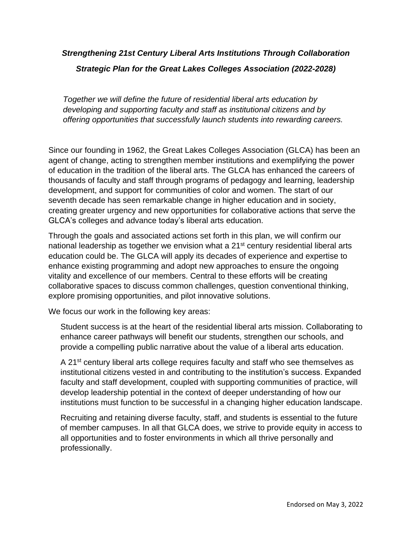## *Strengthening 21st Century Liberal Arts Institutions Through Collaboration Strategic Plan for the Great Lakes Colleges Association (2022-2028)*

*Together we will define the future of residential liberal arts education by developing and supporting faculty and staff as institutional citizens and by offering opportunities that successfully launch students into rewarding careers.*

Since our founding in 1962, the Great Lakes Colleges Association (GLCA) has been an agent of change, acting to strengthen member institutions and exemplifying the power of education in the tradition of the liberal arts. The GLCA has enhanced the careers of thousands of faculty and staff through programs of pedagogy and learning, leadership development, and support for communities of color and women. The start of our seventh decade has seen remarkable change in higher education and in society, creating greater urgency and new opportunities for collaborative actions that serve the GLCA's colleges and advance today's liberal arts education.

Through the goals and associated actions set forth in this plan, we will confirm our national leadership as together we envision what a 21<sup>st</sup> century residential liberal arts education could be. The GLCA will apply its decades of experience and expertise to enhance existing programming and adopt new approaches to ensure the ongoing vitality and excellence of our members. Central to these efforts will be creating collaborative spaces to discuss common challenges, question conventional thinking, explore promising opportunities, and pilot innovative solutions.

We focus our work in the following key areas:

Student success is at the heart of the residential liberal arts mission. Collaborating to enhance career pathways will benefit our students, strengthen our schools, and provide a compelling public narrative about the value of a liberal arts education.

A 21<sup>st</sup> century liberal arts college requires faculty and staff who see themselves as institutional citizens vested in and contributing to the institution's success. Expanded faculty and staff development, coupled with supporting communities of practice, will develop leadership potential in the context of deeper understanding of how our institutions must function to be successful in a changing higher education landscape.

Recruiting and retaining diverse faculty, staff, and students is essential to the future of member campuses. In all that GLCA does, we strive to provide equity in access to all opportunities and to foster environments in which all thrive personally and professionally.